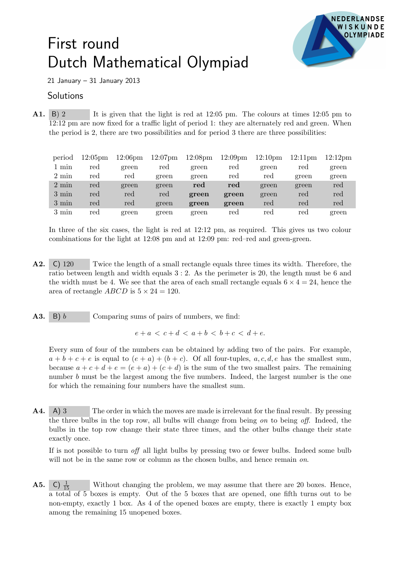## First round Dutch Mathematical Olympiad



21 January – 31 January 2013

## **Solutions**

A1. B) 2 It is given that the light is red at 12:05 pm. The colours at times 12:05 pm to 12:12 pm are now fixed for a traffic light of period 1: they are alternately red and green. When the period is 2, there are two possibilities and for period 3 there are three possibilities:

| period          | 12:05 <sub>pm</sub> | 12:06 <sub>pm</sub> | $12:07$ pm | 12:08 <sub>pm</sub> | 12:09 <sub>pm</sub> | 12:10 <sub>pm</sub> | $12:11$ pm | 12:12 <sub>pm</sub> |
|-----------------|---------------------|---------------------|------------|---------------------|---------------------|---------------------|------------|---------------------|
| min             | red                 | green               | red        | green               | red                 | green               | red        | green               |
| $2 \text{ min}$ | red                 | red                 | green      | green               | red                 | red                 | green      | green               |
| $2 \text{ min}$ | red                 | green               | green      | red                 | red                 | green               | green      | red                 |
| $3 \text{ min}$ | red                 | red                 | red        | green               | green               | green               | red        | red                 |
| $3 \text{ min}$ | red                 | red                 | green      | green               | green               | red                 | red        | red                 |
| 3 min           | red                 | green               | green      | green               | red                 | red                 | red        | green               |

In three of the six cases, the light is red at 12:12 pm, as required. This gives us two colour combinations for the light at 12:08 pm and at 12:09 pm: red–red and green-green.

- A2. C) 120 Twice the length of a small rectangle equals three times its width. Therefore, the ratio between length and width equals 3 : 2. As the perimeter is 20, the length must be 6 and the width must be 4. We see that the area of each small rectangle equals  $6 \times 4 = 24$ , hence the area of rectangle *ABCD* is  $5 \times 24 = 120$ .
- **A3.** B) b Comparing sums of pairs of numbers, we find:

$$
e + a < c + d < a + b < b + c < d + e.
$$

Every sum of four of the numbers can be obtained by adding two of the pairs. For example,  $a + b + c + e$  is equal to  $(e + a) + (b + c)$ . Of all four-tuples,  $a, c, d, e$  has the smallest sum, because  $a + c + d + e = (e + a) + (c + d)$  is the sum of the two smallest pairs. The remaining number b must be the largest among the five numbers. Indeed, the largest number is the one for which the remaining four numbers have the smallest sum.

A4. A) 3 The order in which the moves are made is irrelevant for the final result. By pressing the three bulbs in the top row, all bulbs will change from being on to being off. Indeed, the bulbs in the top row change their state three times, and the other bulbs change their state exactly once.

If is not possible to turn off all light bulbs by pressing two or fewer bulbs. Indeed some bulb will not be in the same row or column as the chosen bulbs, and hence remain *on*.

**A5.** C)  $\frac{1}{15}$ Without changing the problem, we may assume that there are 20 boxes. Hence, a total of 5 boxes is empty. Out of the 5 boxes that are opened, one fifth turns out to be non-empty, exactly 1 box. As 4 of the opened boxes are empty, there is exactly 1 empty box among the remaining 15 unopened boxes.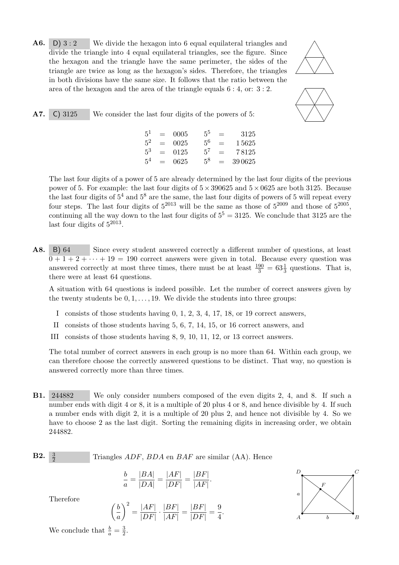**A6.** D) 3 : 2 We divide the hexagon into 6 equal equilateral triangles and divide the triangle into 4 equal equilateral triangles, see the figure. Since the hexagon and the triangle have the same perimeter, the sides of the triangle are twice as long as the hexagon's sides. Therefore, the triangles in both divisions have the same size. It follows that the ratio between the area of the hexagon and the area of the triangle equals 6 : 4, or: 3 : 2.





|  | <b>A7.</b> C) 3125 | We consider the last four digits of the powers of 5: |  |  |  |  |  |
|--|--------------------|------------------------------------------------------|--|--|--|--|--|
|  |                    |                                                      |  |  |  |  |  |

 $5^1$  $\begin{array}{rcl} 0005 & & 5^5 & = & 3125 \\ 0025 & & 5^6 & = & 15625 \\ 0125 & & 5^7 & = & 78125 \end{array}$  $5^2\,$  $= 0025$   $5^6 = 15625$  $5^3$  $= 0125$   $5^7 = 78125$ 5  $0625$   $5^8$  = 39 0625

The last four digits of a power of 5 are already determined by the last four digits of the previous power of 5. For example: the last four digits of  $5 \times 390625$  and  $5 \times 0625$  are both 3125. Because the last four digits of  $5^4$  and  $5^8$  are the same, the last four digits of powers of 5 will repeat every four steps. The last four digits of  $5^{2013}$  will be the same as those of  $5^{2009}$  and those of  $5^{2005}$ , continuing all the way down to the last four digits of  $5^5 = 3125$ . We conclude that 3125 are the last four digits of  $5^{2013}$ .

A8. B) 64 Since every student answered correctly a different number of questions, at least  $\overline{0+1+2+\cdots}+19=190$  correct answers were given in total. Because every question was answered correctly at most three times, there must be at least  $\frac{190}{3} = 63\frac{1}{3}$  questions. That is, there were at least 64 questions.

A situation with 64 questions is indeed possible. Let the number of correct answers given by the twenty students be  $0, 1, \ldots, 19$ . We divide the students into three groups:

- I consists of those students having 0, 1, 2, 3, 4, 17, 18, or 19 correct answers,
- II consists of those students having 5, 6, 7, 14, 15, or 16 correct answers, and
- III consists of those students having 8, 9, 10, 11, 12, or 13 correct answers.

The total number of correct answers in each group is no more than 64. Within each group, we can therefore choose the correctly answered questions to be distinct. That way, no question is answered correctly more than three times.

B1. 244882 We only consider numbers composed of the even digits 2, 4, and 8. If such a number ends with digit 4 or 8, it is a multiple of 20 plus 4 or 8, and hence divisible by 4. If such a number ends with digit 2, it is a multiple of 20 plus 2, and hence not divisible by 4. So we have to choose 2 as the last digit. Sorting the remaining digits in increasing order, we obtain 244882.

**B2.** 
$$
\frac{3}{2}
$$
 Triangles *ADF*, *BDA* en *BAF* are similar (AA). Hence

$$
\frac{b}{a} = \frac{|BA|}{|DA|} = \frac{|AF|}{|DF|} = \frac{|BF|}{|AF|}.
$$

Therefore

$$
\left(\frac{b}{a}\right)^2 = \frac{|AF|}{|DF|} \cdot \frac{|BF|}{|AF|} = \frac{|BF|}{|DF|} = \frac{9}{4}.
$$



We conclude that  $\frac{b}{a} = \frac{3}{2}$  $\frac{3}{2}$ .